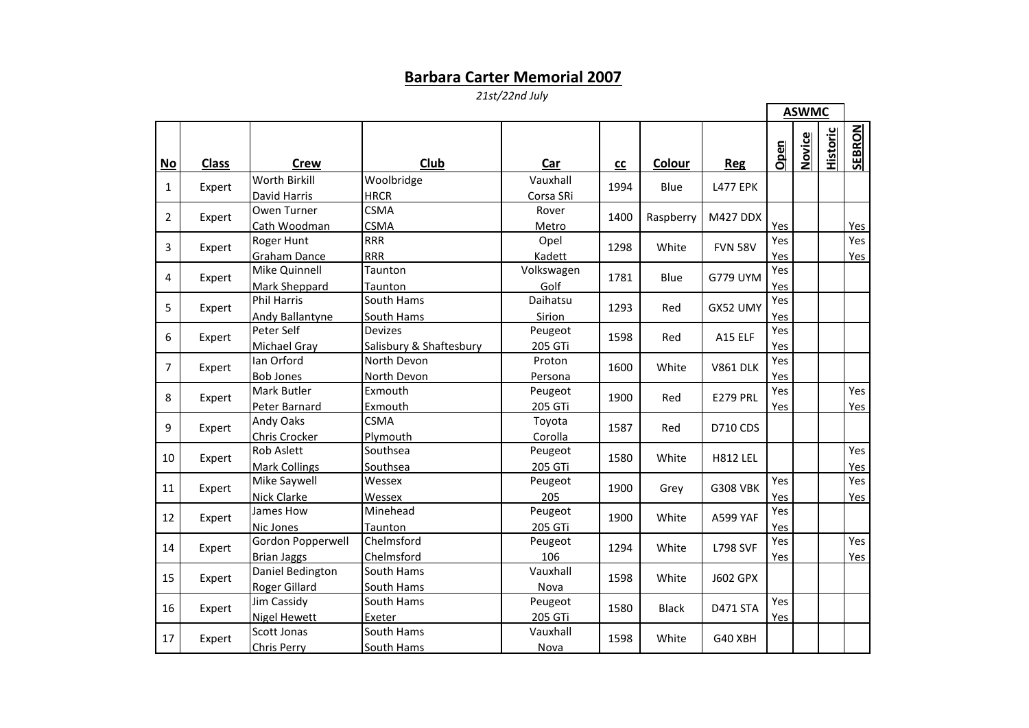## **Barbara Carter Memorial 2007**

*21st/22nd July*

 $\blacksquare$ 

**F** 

|    |              |                                           |                                           |                       |      |              |                 | <b>ASWMC</b> |               |                 |                   |
|----|--------------|-------------------------------------------|-------------------------------------------|-----------------------|------|--------------|-----------------|--------------|---------------|-----------------|-------------------|
| No | <b>Class</b> | <b>Crew</b>                               | Club                                      | Car                   | cc   | Colour       | <b>Reg</b>      | Open         | <b>Novice</b> | <b>Historic</b> | SEBRON            |
| 1  | Expert       | Worth Birkill<br>David Harris             | Woolbridge<br><b>HRCR</b>                 | Vauxhall<br>Corsa SRi | 1994 | Blue         | <b>L477 EPK</b> |              |               |                 |                   |
| 2  | Expert       | Owen Turner<br>Cath Woodman               | <b>CSMA</b><br><b>CSMA</b>                | Rover<br>Metro        | 1400 | Raspberry    | M427 DDX        | Yes          |               |                 | Yes               |
| 3  | Expert       | Roger Hunt<br><b>Graham Dance</b>         | <b>RRR</b><br><b>RRR</b>                  | Opel<br>Kadett        | 1298 | White        | <b>FVN 58V</b>  | Yes<br>Yes   |               |                 | Yes<br>Yes        |
| 4  | Expert       | Mike Quinnell<br>Mark Sheppard            | Taunton<br>Taunton                        | Volkswagen<br>Golf    | 1781 | Blue         | <b>G779 UYM</b> | Yes<br>Yes   |               |                 |                   |
| 5  | Expert       | <b>Phil Harris</b><br>Andy Ballantyne     | South Hams<br>South Hams                  | Daihatsu<br>Sirion    | 1293 | Red          | GX52 UMY        | Yes<br>Yes   |               |                 |                   |
| 6  | Expert       | Peter Self<br><b>Michael Gray</b>         | <b>Devizes</b><br>Salisbury & Shaftesbury | Peugeot<br>205 GTi    | 1598 | Red          | A15 ELF         | Yes<br>Yes   |               |                 |                   |
| 7  | Expert       | Ian Orford<br><b>Bob Jones</b>            | North Devon<br>North Devon                | Proton<br>Persona     | 1600 | White        | <b>V861 DLK</b> | Yes<br>Yes   |               |                 |                   |
| 8  | Expert       | <b>Mark Butler</b><br>Peter Barnard       | Exmouth<br>Exmouth                        | Peugeot<br>205 GTi    | 1900 | Red          | <b>E279 PRL</b> | Yes<br>Yes   |               |                 | Yes<br><b>Yes</b> |
| 9  | Expert       | <b>Andy Oaks</b><br>Chris Crocker         | <b>CSMA</b><br>Plymouth                   | Toyota<br>Corolla     | 1587 | Red          | <b>D710 CDS</b> |              |               |                 |                   |
| 10 | Expert       | <b>Rob Aslett</b><br><b>Mark Collings</b> | Southsea<br>Southsea                      | Peugeot<br>205 GTi    | 1580 | White        | <b>H812 LEL</b> |              |               |                 | Yes<br>Yes        |
| 11 | Expert       | Mike Saywell<br><b>Nick Clarke</b>        | Wessex<br>Wessex                          | Peugeot<br>205        | 1900 | Grey         | <b>G308 VBK</b> | Yes<br>Yes   |               |                 | Yes<br>Yes        |
| 12 | Expert       | James How<br><b>Nic Jones</b>             | Minehead<br>Taunton                       | Peugeot<br>205 GTi    | 1900 | White        | A599 YAF        | Yes<br>Yes   |               |                 |                   |
| 14 | Expert       | Gordon Popperwell<br><b>Brian Jaggs</b>   | Chelmsford<br>Chelmsford                  | Peugeot<br>106        | 1294 | White        | <b>L798 SVF</b> | Yes<br>Yes   |               |                 | Yes<br>Yes        |
| 15 | Expert       | Daniel Bedington<br><b>Roger Gillard</b>  | South Hams<br>South Hams                  | Vauxhall<br>Nova      | 1598 | White        | <b>J602 GPX</b> |              |               |                 |                   |
| 16 | Expert       | Jim Cassidy<br><b>Nigel Hewett</b>        | South Hams<br>Exeter                      | Peugeot<br>205 GTi    | 1580 | <b>Black</b> | <b>D471 STA</b> | Yes<br>Yes   |               |                 |                   |
| 17 | Expert       | Scott Jonas<br><b>Chris Perry</b>         | South Hams<br>South Hams                  | Vauxhall<br>Nova      | 1598 | White        | G40 XBH         |              |               |                 |                   |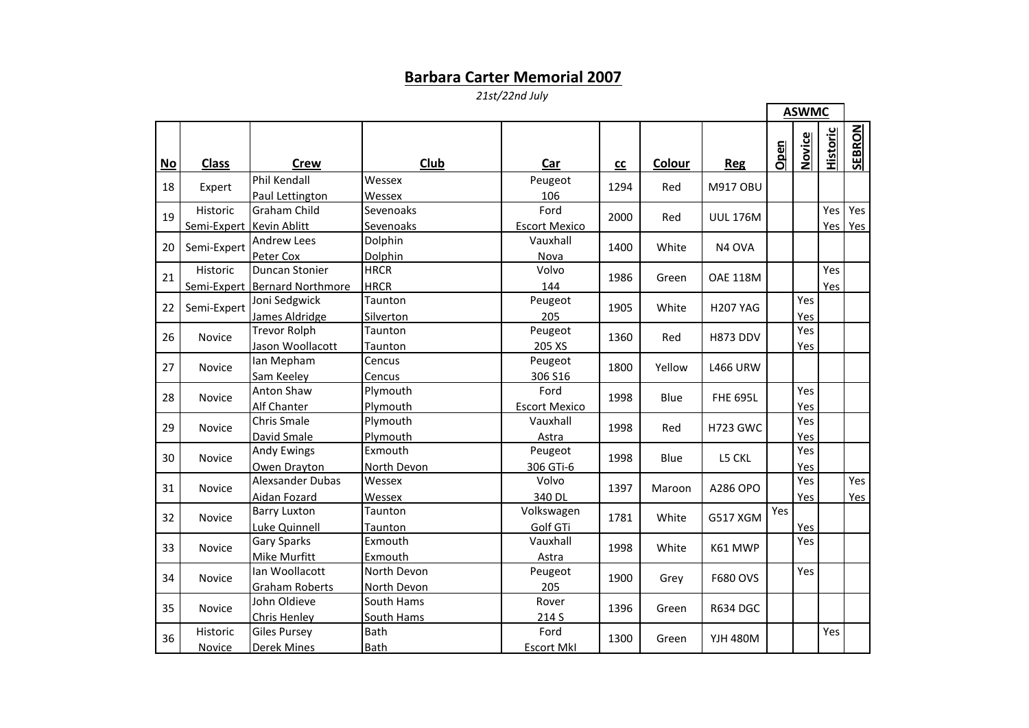## **Barbara Carter Memorial 2007**

*21st/22nd July*

 $\blacksquare$ 

|    |                                      |                                                 |                            |                              |            |        |                    |      | <b>ASWMC</b> |                 |            |
|----|--------------------------------------|-------------------------------------------------|----------------------------|------------------------------|------------|--------|--------------------|------|--------------|-----------------|------------|
| No | <b>Class</b>                         | <b>Crew</b>                                     | Club                       | Car                          | ${\rm cc}$ | Colour | <b>Reg</b>         | Open | Novice       | <b>Historic</b> | SEBRON     |
| 18 | Expert                               | Phil Kendall<br>Paul Lettington                 | Wessex<br>Wessex           | Peugeot<br>106               | 1294       | Red    | <b>M917 OBU</b>    |      |              |                 |            |
| 19 | Historic<br>Semi-Expert Kevin Ablitt | <b>Graham Child</b>                             | Sevenoaks<br>Sevenoaks     | Ford<br><b>Escort Mexico</b> | 2000       | Red    | <b>UUL 176M</b>    |      |              | Yes<br>Yes I    | Yes<br>Yes |
| 20 | Semi-Expert                          | <b>Andrew Lees</b><br>Peter Cox                 | Dolphin<br>Dolphin         | Vauxhall<br>Nova             | 1400       | White  | N <sub>4</sub> OVA |      |              |                 |            |
| 21 | Historic                             | Duncan Stonier<br>Semi-Expert Bernard Northmore | <b>HRCR</b><br><b>HRCR</b> | Volvo<br>144                 | 1986       | Green  | <b>OAE 118M</b>    |      |              | Yes<br>Yes      |            |
| 22 | Semi-Expert                          | Joni Sedgwick<br>James Aldridge                 | Taunton<br>Silverton       | Peugeot<br>205               | 1905       | White  | <b>H207 YAG</b>    |      | Yes<br>Yes   |                 |            |
| 26 | Novice                               | <b>Trevor Rolph</b><br>Jason Woollacott         | Taunton<br>Taunton         | Peugeot<br>205 XS            | 1360       | Red    | <b>H873 DDV</b>    |      | Yes<br>Yes   |                 |            |
| 27 | Novice                               | Ian Mepham<br>Sam Keeley                        | Cencus<br>Cencus           | Peugeot<br>306 S16           | 1800       | Yellow | <b>L466 URW</b>    |      |              |                 |            |
| 28 | <b>Novice</b>                        | <b>Anton Shaw</b><br>Alf Chanter                | Plymouth<br>Plymouth       | Ford<br><b>Escort Mexico</b> | 1998       | Blue   | <b>FHE 695L</b>    |      | Yes<br>Yes   |                 |            |
| 29 | <b>Novice</b>                        | Chris Smale<br>David Smale                      | Plymouth<br>Plymouth       | Vauxhall<br>Astra            | 1998       | Red    | <b>H723 GWC</b>    |      | Yes<br>Yes   |                 |            |
| 30 | <b>Novice</b>                        | <b>Andy Ewings</b><br>Owen Drayton              | Exmouth<br>North Devon     | Peugeot<br>306 GTi-6         | 1998       | Blue   | L5 CKL             |      | Yes<br>Yes   |                 |            |
| 31 | Novice                               | <b>Alexsander Dubas</b><br>Aidan Fozard         | Wessex<br>Wessex           | Volvo<br>340 DL              | 1397       | Maroon | A286 OPO           |      | Yes<br>Yes   |                 | Yes<br>Yes |
| 32 | <b>Novice</b>                        | <b>Barry Luxton</b><br>Luke Quinnell            | Taunton<br>Taunton         | Volkswagen<br>Golf GTi       | 1781       | White  | <b>G517 XGM</b>    | Yes  | Yes          |                 |            |
| 33 | <b>Novice</b>                        | Gary Sparks<br>Mike Murfitt                     | Exmouth<br>Exmouth         | Vauxhall<br>Astra            | 1998       | White  | K61 MWP            |      | Yes          |                 |            |
| 34 | <b>Novice</b>                        | lan Woollacott<br><b>Graham Roberts</b>         | North Devon<br>North Devon | Peugeot<br>205               | 1900       | Grey   | F680 OVS           |      | Yes          |                 |            |
| 35 | Novice                               | John Oldieve<br><b>Chris Henley</b>             | South Hams<br>South Hams   | Rover<br>214 S               | 1396       | Green  | <b>R634 DGC</b>    |      |              |                 |            |
| 36 | Historic<br>Novice                   | <b>Giles Pursey</b><br><b>Derek Mines</b>       | Bath<br>Bath               | Ford<br><b>Escort MkI</b>    | 1300       | Green  | <b>YJH 480M</b>    |      |              | Yes             |            |